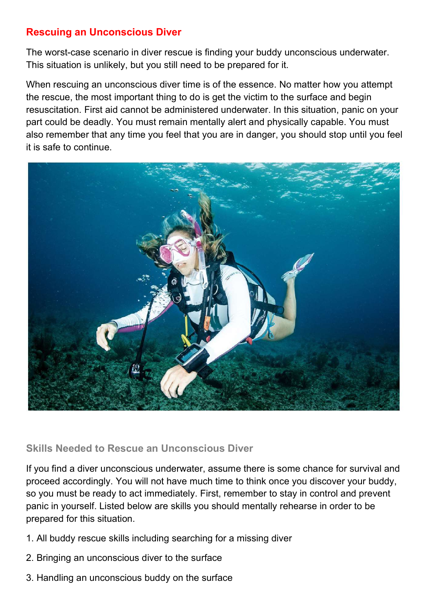# Rescuing an Unconscious Diver

The worst-case scenario in diver rescue is finding your buddy unconscious underwater. This situation is unlikely, but you still need to be prepared for it.

When rescuing an unconscious diver time is of the essence. No matter how you attempt the rescue, the most important thing to do is get the victim to the surface and begin resuscitation. First aid cannot be administered underwater. In this situation, panic on your part could be deadly. You must remain mentally alert and physically capable. You must also remember that any time you feel that you are in danger, you should stop until you feel it is safe to continue.



#### Skills Needed to Rescue an Unconscious Diver

If you find a diver unconscious underwater, assume there is some chance for survival and proceed accordingly. You will not have much time to think once you discover your buddy, so you must be ready to act immediately. First, remember to stay in control and prevent panic in yourself. Listed below are skills you should mentally rehearse in order to be prepared for this situation.

- 1. All buddy rescue skills including searching for a missing diver
- 2. Bringing an unconscious diver to the surface
- 3. Handling an unconscious buddy on the surface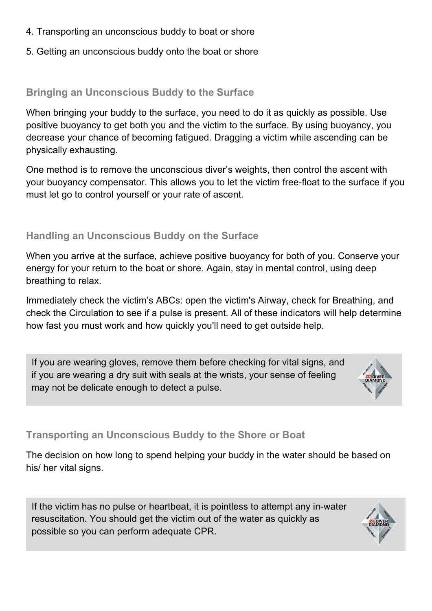- 4. Transporting an unconscious buddy to boat or shore
- 5. Getting an unconscious buddy onto the boat or shore

## Bringing an Unconscious Buddy to the Surface

When bringing your buddy to the surface, you need to do it as quickly as possible. Use positive buoyancy to get both you and the victim to the surface. By using buoyancy, you decrease your chance of becoming fatigued. Dragging a victim while ascending can be physically exhausting.

One method is to remove the unconscious diver's weights, then control the ascent with your buoyancy compensator. This allows you to let the victim free-float to the surface if you must let go to control yourself or your rate of ascent.

### Handling an Unconscious Buddy on the Surface

When you arrive at the surface, achieve positive buoyancy for both of you. Conserve your energy for your return to the boat or shore. Again, stay in mental control, using deep breathing to relax.

Immediately check the victim's ABCs: open the victim's Airway, check for Breathing, and check the Circulation to see if a pulse is present. All of these indicators will help determine how fast you must work and how quickly you'll need to get outside help.

If you are wearing gloves, remove them before checking for vital signs, and if you are wearing a dry suit with seals at the wrists, your sense of feeling may not be delicate enough to detect a pulse.



# Transporting an Unconscious Buddy to the Shore or Boat

The decision on how long to spend helping your buddy in the water should be based on his/ her vital signs.

If the victim has no pulse or heartbeat, it is pointless to attempt any in-water resuscitation. You should get the victim out of the water as quickly as possible so you can perform adequate CPR.